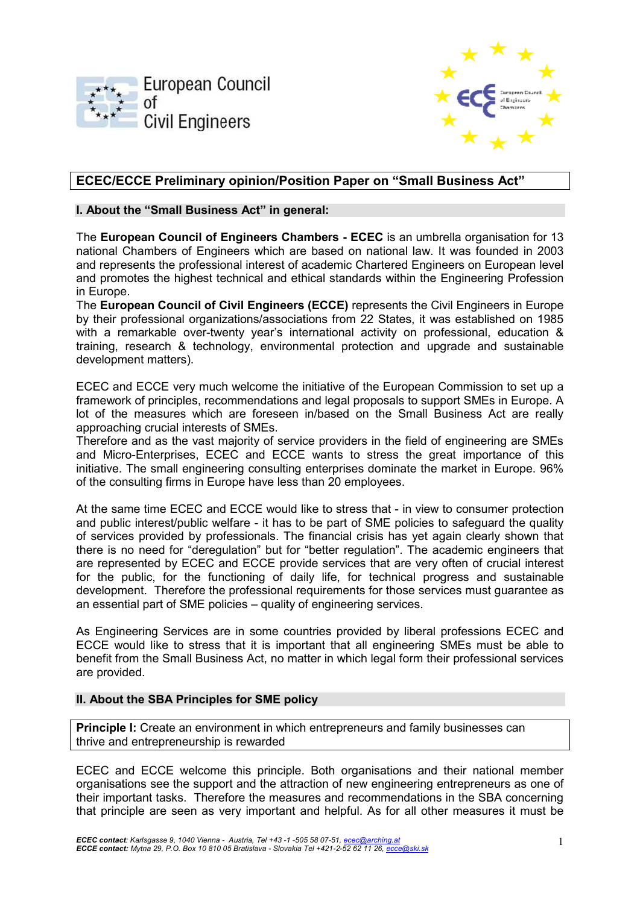



# **ECEC/ECCE Preliminary opinion/Position Paper on "Small Business Act"**

## **I. About the "Small Business Act" in general:**

The **European Council of Engineers Chambers - ECEC** is an umbrella organisation for 13 national Chambers of Engineers which are based on national law. It was founded in 2003 and represents the professional interest of academic Chartered Engineers on European level and promotes the highest technical and ethical standards within the Engineering Profession in Europe.

The **European Council of Civil Engineers (ECCE)** represents the Civil Engineers in Europe by their professional organizations/associations from 22 States, it was established on 1985 with a remarkable over-twenty year's international activity on professional, education & training, research & technology, environmental protection and upgrade and sustainable development matters).

ECEC and ECCE very much welcome the initiative of the European Commission to set up a framework of principles, recommendations and legal proposals to support SMEs in Europe. A lot of the measures which are foreseen in/based on the Small Business Act are really approaching crucial interests of SMEs.

Therefore and as the vast majority of service providers in the field of engineering are SMEs and Micro-Enterprises, ECEC and ECCE wants to stress the great importance of this initiative. The small engineering consulting enterprises dominate the market in Europe. 96% of the consulting firms in Europe have less than 20 employees.

At the same time ECEC and ECCE would like to stress that - in view to consumer protection and public interest/public welfare - it has to be part of SME policies to safeguard the quality of services provided by professionals. The financial crisis has yet again clearly shown that there is no need for "deregulation" but for "better regulation". The academic engineers that are represented by ECEC and ECCE provide services that are very often of crucial interest for the public, for the functioning of daily life, for technical progress and sustainable development. Therefore the professional requirements for those services must guarantee as an essential part of SME policies – quality of engineering services.

As Engineering Services are in some countries provided by liberal professions ECEC and ECCE would like to stress that it is important that all engineering SMEs must be able to benefit from the Small Business Act, no matter in which legal form their professional services are provided.

# **II. About the SBA Principles for SME policy**

**Principle I:** Create an environment in which entrepreneurs and family businesses can thrive and entrepreneurship is rewarded

ECEC and ECCE welcome this principle. Both organisations and their national member organisations see the support and the attraction of new engineering entrepreneurs as one of their important tasks. Therefore the measures and recommendations in the SBA concerning that principle are seen as very important and helpful. As for all other measures it must be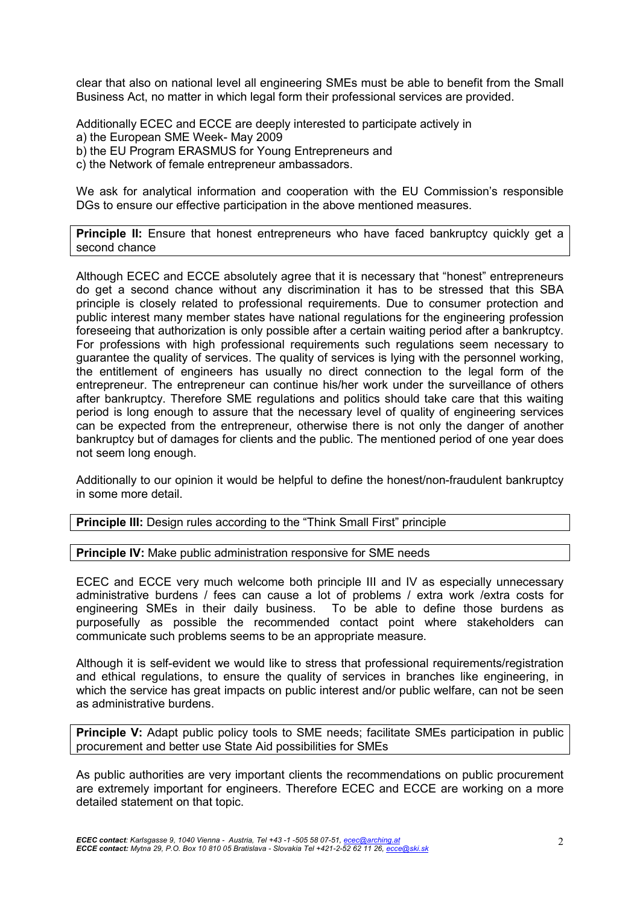clear that also on national level all engineering SMEs must be able to benefit from the Small Business Act, no matter in which legal form their professional services are provided.

Additionally ECEC and ECCE are deeply interested to participate actively in a) the European SME Week- May 2009 b) the EU Program ERASMUS for Young Entrepreneurs and c) the Network of female entrepreneur ambassadors.

We ask for analytical information and cooperation with the EU Commission's responsible DGs to ensure our effective participation in the above mentioned measures.

**Principle II:** Ensure that honest entrepreneurs who have faced bankruptcy quickly get a second chance

Although ECEC and ECCE absolutely agree that it is necessary that "honest" entrepreneurs do get a second chance without any discrimination it has to be stressed that this SBA principle is closely related to professional requirements. Due to consumer protection and public interest many member states have national regulations for the engineering profession foreseeing that authorization is only possible after a certain waiting period after a bankruptcy. For professions with high professional requirements such regulations seem necessary to guarantee the quality of services. The quality of services is lying with the personnel working, the entitlement of engineers has usually no direct connection to the legal form of the entrepreneur. The entrepreneur can continue his/her work under the surveillance of others after bankruptcy. Therefore SME regulations and politics should take care that this waiting period is long enough to assure that the necessary level of quality of engineering services can be expected from the entrepreneur, otherwise there is not only the danger of another bankruptcy but of damages for clients and the public. The mentioned period of one year does not seem long enough.

Additionally to our opinion it would be helpful to define the honest/non-fraudulent bankruptcy in some more detail.

**Principle III:** Design rules according to the "Think Small First" principle

**Principle IV:** Make public administration responsive for SME needs

ECEC and ECCE very much welcome both principle III and IV as especially unnecessary administrative burdens / fees can cause a lot of problems / extra work /extra costs for engineering SMEs in their daily business. To be able to define those burdens as purposefully as possible the recommended contact point where stakeholders can communicate such problems seems to be an appropriate measure.

Although it is self-evident we would like to stress that professional requirements/registration and ethical regulations, to ensure the quality of services in branches like engineering, in which the service has great impacts on public interest and/or public welfare, can not be seen as administrative burdens.

**Principle V:** Adapt public policy tools to SME needs; facilitate SMEs participation in public procurement and better use State Aid possibilities for SMEs

As public authorities are very important clients the recommendations on public procurement are extremely important for engineers. Therefore ECEC and ECCE are working on a more detailed statement on that topic.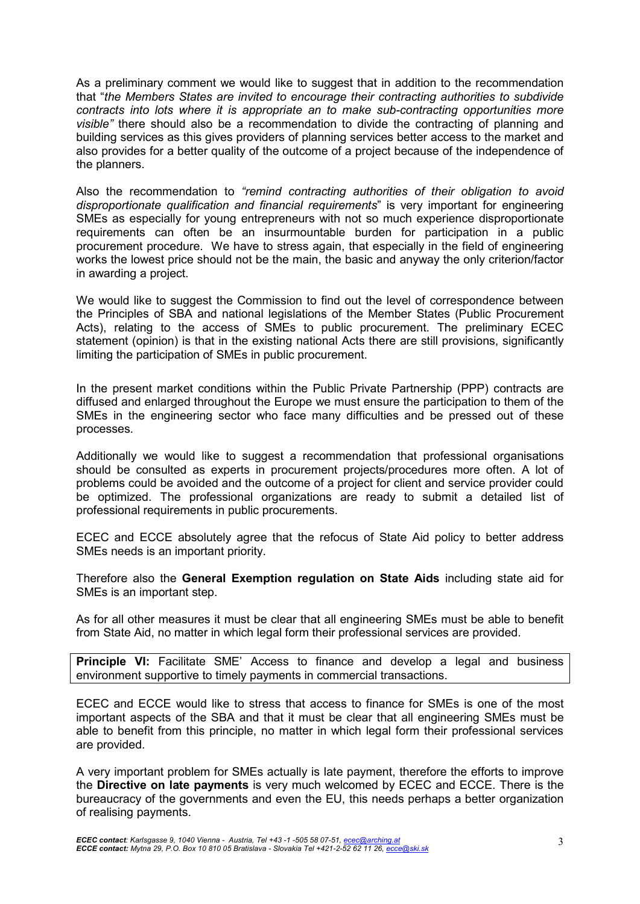As a preliminary comment we would like to suggest that in addition to the recommendation that "*the Members States are invited to encourage their contracting authorities to subdivide contracts into lots where it is appropriate an to make sub-contracting opportunities more visible"* there should also be a recommendation to divide the contracting of planning and building services as this gives providers of planning services better access to the market and also provides for a better quality of the outcome of a project because of the independence of the planners.

Also the recommendation to *"remind contracting authorities of their obligation to avoid disproportionate qualification and financial requirements*" is very important for engineering SMEs as especially for young entrepreneurs with not so much experience disproportionate requirements can often be an insurmountable burden for participation in a public procurement procedure. We have to stress again, that especially in the field of engineering works the lowest price should not be the main, the basic and anyway the only criterion/factor in awarding a project.

We would like to suggest the Commission to find out the level of correspondence between the Principles of SBA and national legislations of the Member States (Public Procurement Acts), relating to the access of SMEs to public procurement. The preliminary ECEC statement (opinion) is that in the existing national Acts there are still provisions, significantly limiting the participation of SMEs in public procurement.

In the present market conditions within the Public Private Partnership (PPP) contracts are diffused and enlarged throughout the Europe we must ensure the participation to them of the SMEs in the engineering sector who face many difficulties and be pressed out of these processes.

Additionally we would like to suggest a recommendation that professional organisations should be consulted as experts in procurement projects/procedures more often. A lot of problems could be avoided and the outcome of a project for client and service provider could be optimized. The professional organizations are ready to submit a detailed list of professional requirements in public procurements.

ECEC and ECCE absolutely agree that the refocus of State Aid policy to better address SMEs needs is an important priority.

Therefore also the **General Exemption regulation on State Aids** including state aid for SMEs is an important step.

As for all other measures it must be clear that all engineering SMEs must be able to benefit from State Aid, no matter in which legal form their professional services are provided.

**Principle VI:** Facilitate SME' Access to finance and develop a legal and business environment supportive to timely payments in commercial transactions.

ECEC and ECCE would like to stress that access to finance for SMEs is one of the most important aspects of the SBA and that it must be clear that all engineering SMEs must be able to benefit from this principle, no matter in which legal form their professional services are provided.

A very important problem for SMEs actually is late payment, therefore the efforts to improve the **Directive on late payments** is very much welcomed by ECEC and ECCE. There is the bureaucracy of the governments and even the EU, this needs perhaps a better organization of realising payments.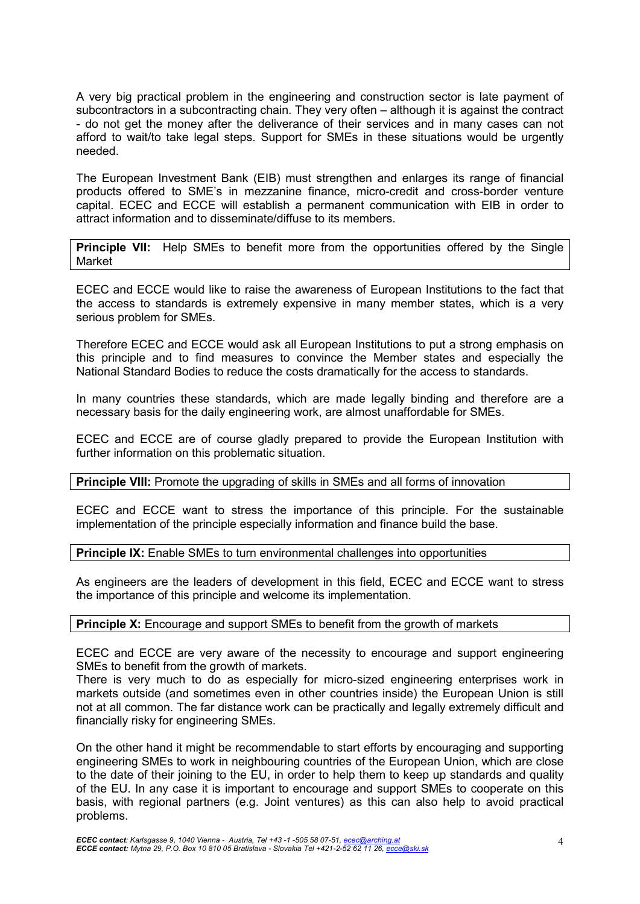A very big practical problem in the engineering and construction sector is late payment of subcontractors in a subcontracting chain. They very often – although it is against the contract - do not get the money after the deliverance of their services and in many cases can not afford to wait/to take legal steps. Support for SMEs in these situations would be urgently needed.

The European Investment Bank (EIB) must strengthen and enlarges its range of financial products offered to SME's in mezzanine finance, micro-credit and cross-border venture capital. ECEC and ECCE will establish a permanent communication with EIB in order to attract information and to disseminate/diffuse to its members.

**Principle VII:** Help SMEs to benefit more from the opportunities offered by the Single Market

ECEC and ECCE would like to raise the awareness of European Institutions to the fact that the access to standards is extremely expensive in many member states, which is a very serious problem for SMEs.

Therefore ECEC and ECCE would ask all European Institutions to put a strong emphasis on this principle and to find measures to convince the Member states and especially the National Standard Bodies to reduce the costs dramatically for the access to standards.

In many countries these standards, which are made legally binding and therefore are a necessary basis for the daily engineering work, are almost unaffordable for SMEs.

ECEC and ECCE are of course gladly prepared to provide the European Institution with further information on this problematic situation.

**Principle VIII:** Promote the upgrading of skills in SMEs and all forms of innovation

ECEC and ECCE want to stress the importance of this principle. For the sustainable implementation of the principle especially information and finance build the base.

**Principle IX:** Enable SMEs to turn environmental challenges into opportunities

As engineers are the leaders of development in this field, ECEC and ECCE want to stress the importance of this principle and welcome its implementation.

### **Principle X:** Encourage and support SMEs to benefit from the growth of markets

ECEC and ECCE are very aware of the necessity to encourage and support engineering SMEs to benefit from the growth of markets.

There is very much to do as especially for micro-sized engineering enterprises work in markets outside (and sometimes even in other countries inside) the European Union is still not at all common. The far distance work can be practically and legally extremely difficult and financially risky for engineering SMEs.

On the other hand it might be recommendable to start efforts by encouraging and supporting engineering SMEs to work in neighbouring countries of the European Union, which are close to the date of their joining to the EU, in order to help them to keep up standards and quality of the EU. In any case it is important to encourage and support SMEs to cooperate on this basis, with regional partners (e.g. Joint ventures) as this can also help to avoid practical problems.